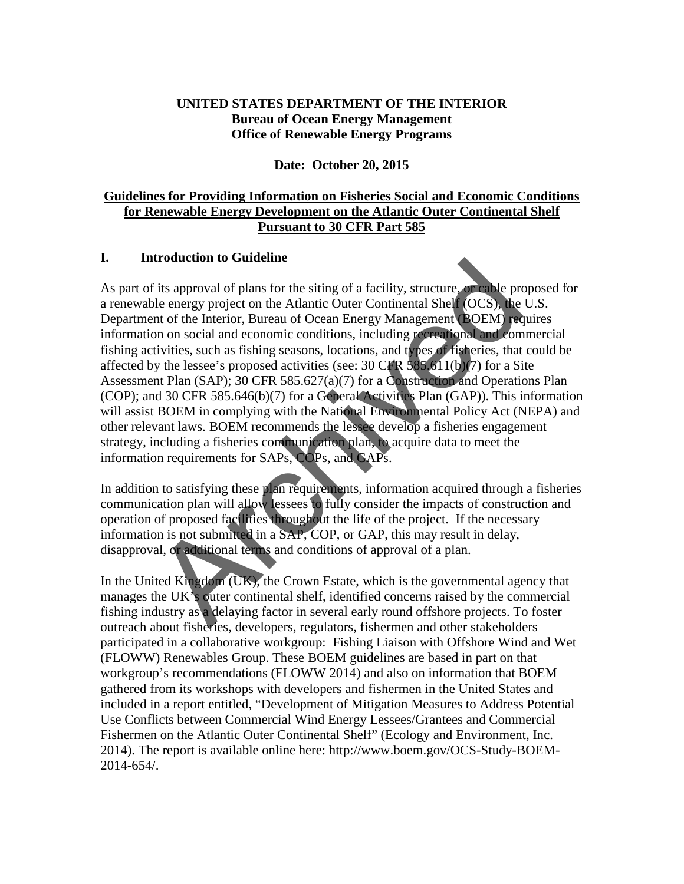### **UNITED STATES DEPARTMENT OF THE INTERIOR Bureau of Ocean Energy Management Office of Renewable Energy Programs**

#### **Date: October 20, 2015**

### **Guidelines for Providing Information on Fisheries Social and Economic Conditions for Renewable Energy Development on the Atlantic Outer Continental Shelf Pursuant to 30 CFR Part 585**

### **I. Introduction to Guideline**

As part of its approval of plans for the siting of a facility, structure, or cable proposed for a renewable energy project on the Atlantic Outer Continental Shelf (OCS), the U.S. Department of the Interior, Bureau of Ocean Energy Management (BOEM) requires information on social and economic conditions, including recreational and commercial fishing activities, such as fishing seasons, locations, and types of fisheries, that could be affected by the lessee's proposed activities (see:  $30 \text{ CFR } 585.611(b)(7)$  for a Site Assessment Plan (SAP); 30 CFR 585.627(a)(7) for a Construction and Operations Plan (COP); and 30 CFR 585.646(b)(7) for a General Activities Plan (GAP)). This information will assist BOEM in complying with the National Environmental Policy Act (NEPA) and other relevant laws. BOEM recommends the lessee develop a fisheries engagement strategy, including a fisheries communication plan, to acquire data to meet the information requirements for SAPs, COPs, and GAPs. **Example 10 Constrained** in Solution of Subsember of cylindren and only and the strained Subsemination of the Interior, Bureau of Ocean Energy Management (OCS), the met of the Interior, Bureau of Ocean Energy Management

In addition to satisfying these plan requirements, information acquired through a fisheries communication plan will allow lessees to fully consider the impacts of construction and operation of proposed facilities throughout the life of the project. If the necessary information is not submitted in a SAP, COP, or GAP, this may result in delay, disapproval, or additional terms and conditions of approval of a plan.

In the United Kingdom (UK), the Crown Estate, which is the governmental agency that manages the UK's outer continental shelf, identified concerns raised by the commercial fishing industry as a delaying factor in several early round offshore projects. To foster outreach about fisheries, developers, regulators, fishermen and other stakeholders participated in a collaborative workgroup: Fishing Liaison with Offshore Wind and Wet (FLOWW) Renewables Group. These BOEM guidelines are based in part on that workgroup's recommendations (FLOWW 2014) and also on information that BOEM gathered from its workshops with developers and fishermen in the United States and included in a report entitled, "Development of Mitigation Measures to Address Potential Use Conflicts between Commercial Wind Energy Lessees/Grantees and Commercial Fishermen on the Atlantic Outer Continental Shelf" (Ecology and Environment, Inc. 2014). The report is available online here: http://www.boem.gov/OCS-Study-BOEM-2014-654/.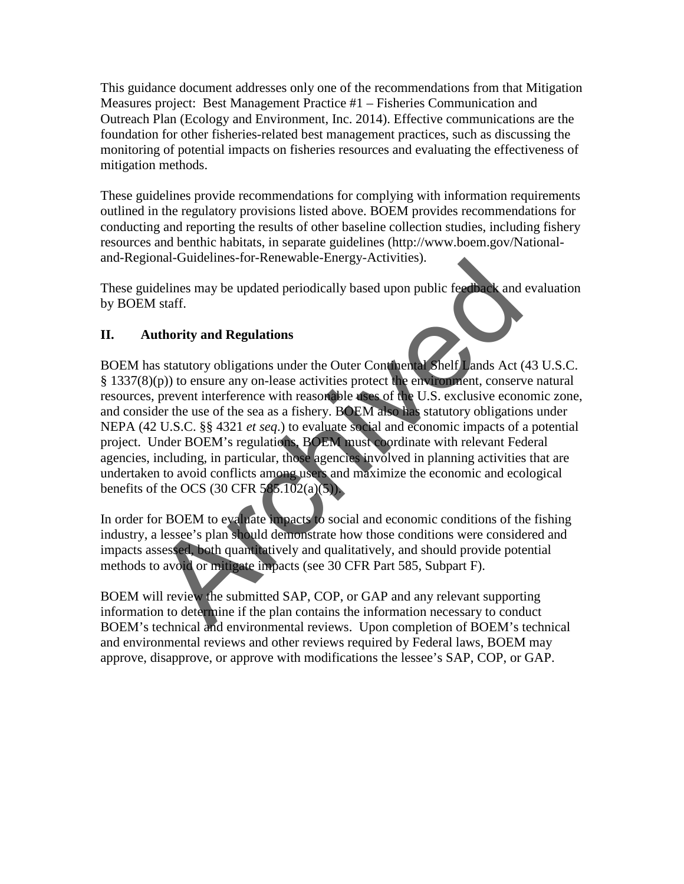This guidance document addresses only one of the recommendations from that Mitigation Measures project: Best Management Practice #1 – Fisheries Communication and Outreach Plan (Ecology and Environment, Inc. 2014). Effective communications are the foundation for other fisheries-related best management practices, such as discussing the monitoring of potential impacts on fisheries resources and evaluating the effectiveness of mitigation methods.

These guidelines provide recommendations for complying with information requirements outlined in the regulatory provisions listed above. BOEM provides recommendations for conducting and reporting the results of other baseline collection studies, including fishery resources and benthic habitats, in separate guidelines (http://www.boem.gov/Nationaland-Regional-Guidelines-for-Renewable-Energy-Activities).

These guidelines may be updated periodically based upon public feedback and evaluation by BOEM staff.

# **II. Authority and Regulations**

BOEM has statutory obligations under the Outer Continental Shelf Lands Act (43 U.S.C. § 1337(8)(p)) to ensure any on-lease activities protect the environment, conserve natural resources, prevent interference with reasonable uses of the U.S. exclusive economic zone, and consider the use of the sea as a fishery. BOEM also has statutory obligations under NEPA (42 U.S.C. §§ 4321 *et seq*.) to evaluate social and economic impacts of a potential project. Under BOEM's regulations, BOEM must coordinate with relevant Federal agencies, including, in particular, those agencies involved in planning activities that are undertaken to avoid conflicts among users and maximize the economic and ecological benefits of the OCS (30 CFR  $585.102(a)(5)$ ). bial-outcomines-tot-Renewable-Energy-Activities).<br>
Idelines may be updated periodically based upon public feedback and<br>
1 staff.<br>
uthority and Regulations<br>
as statutory obligations under the Outer Continental Shelf) ands

In order for BOEM to evaluate impacts to social and economic conditions of the fishing industry, a lessee's plan should demonstrate how those conditions were considered and impacts assessed, both quantitatively and qualitatively, and should provide potential methods to avoid or mitigate impacts (see 30 CFR Part 585, Subpart F).

BOEM will review the submitted SAP, COP, or GAP and any relevant supporting information to determine if the plan contains the information necessary to conduct BOEM's technical and environmental reviews. Upon completion of BOEM's technical and environmental reviews and other reviews required by Federal laws, BOEM may approve, disapprove, or approve with modifications the lessee's SAP, COP, or GAP.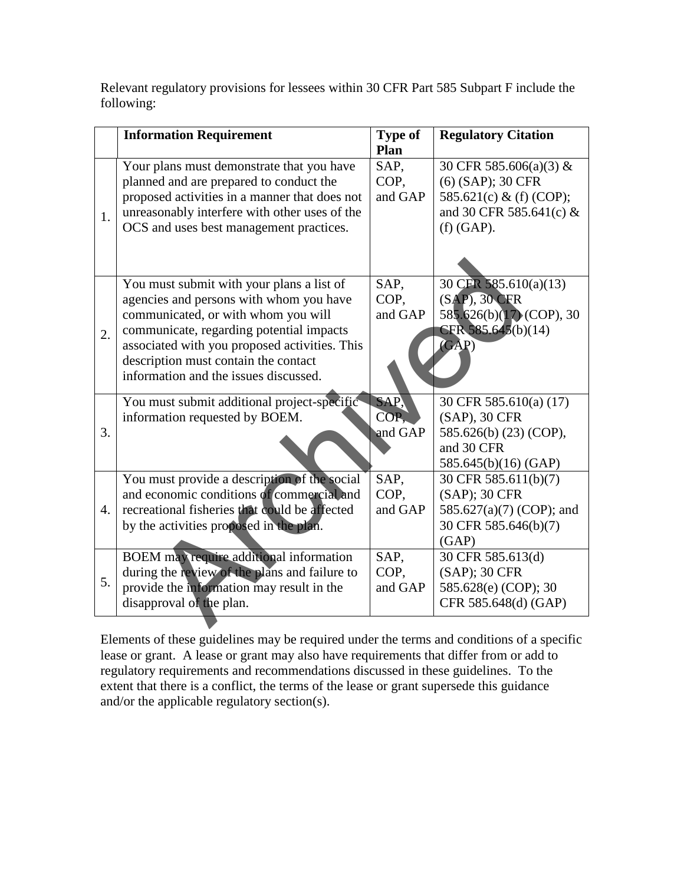Relevant regulatory provisions for lessees within 30 CFR Part 585 Subpart F include the following:

|    | <b>Information Requirement</b>                                                                                                                                                                                                                                                                            | <b>Type of</b><br>Plan  | <b>Regulatory Citation</b>                                                                                          |
|----|-----------------------------------------------------------------------------------------------------------------------------------------------------------------------------------------------------------------------------------------------------------------------------------------------------------|-------------------------|---------------------------------------------------------------------------------------------------------------------|
| 1. | Your plans must demonstrate that you have<br>planned and are prepared to conduct the<br>proposed activities in a manner that does not<br>unreasonably interfere with other uses of the<br>OCS and uses best management practices.                                                                         | SAP,<br>COP,<br>and GAP | 30 CFR 585.606(a)(3) &<br>(6) (SAP); 30 CFR<br>585.621(c) & (f) (COP);<br>and 30 CFR 585.641(c) $&$<br>$(f)$ (GAP). |
| 2. | You must submit with your plans a list of<br>agencies and persons with whom you have<br>communicated, or with whom you will<br>communicate, regarding potential impacts<br>associated with you proposed activities. This<br>description must contain the contact<br>information and the issues discussed. | SAP,<br>COP,<br>and GAP | 30 CFR 585.610(a)(13)<br>(SAP), 30 CFR<br>585.626(b)(17) (COP), 30<br>CFR 585.645(b)(14)<br>$(\overline{GAP})$      |
| 3. | You must submit additional project-specific<br>information requested by BOEM.                                                                                                                                                                                                                             | SAP,<br>COP.<br>and GAP | 30 CFR 585.610(a) (17)<br>(SAP), 30 CFR<br>585.626(b) (23) (COP),<br>and 30 CFR<br>585.645(b)(16) (GAP)             |
| 4. | You must provide a description of the social<br>and economic conditions of commercial and<br>recreational fisheries that could be affected<br>by the activities proposed in the plan.                                                                                                                     | SAP,<br>COP,<br>and GAP | 30 CFR 585.611(b)(7)<br>(SAP); 30 CFR<br>585.627(a)(7) (COP); and<br>30 CFR 585.646(b)(7)<br>(GAP)                  |
| 5. | <b>BOEM</b> may require additional information<br>during the review of the plans and failure to<br>provide the information may result in the<br>disapproval of the plan.                                                                                                                                  | SAP,<br>COP,<br>and GAP | 30 CFR 585.613(d)<br>(SAP); 30 CFR<br>585.628(e) (COP); 30<br>CFR 585.648(d) (GAP)                                  |

Elements of these guidelines may be required under the terms and conditions of a specific lease or grant. A lease or grant may also have requirements that differ from or add to regulatory requirements and recommendations discussed in these guidelines. To the extent that there is a conflict, the terms of the lease or grant supersede this guidance and/or the applicable regulatory section(s).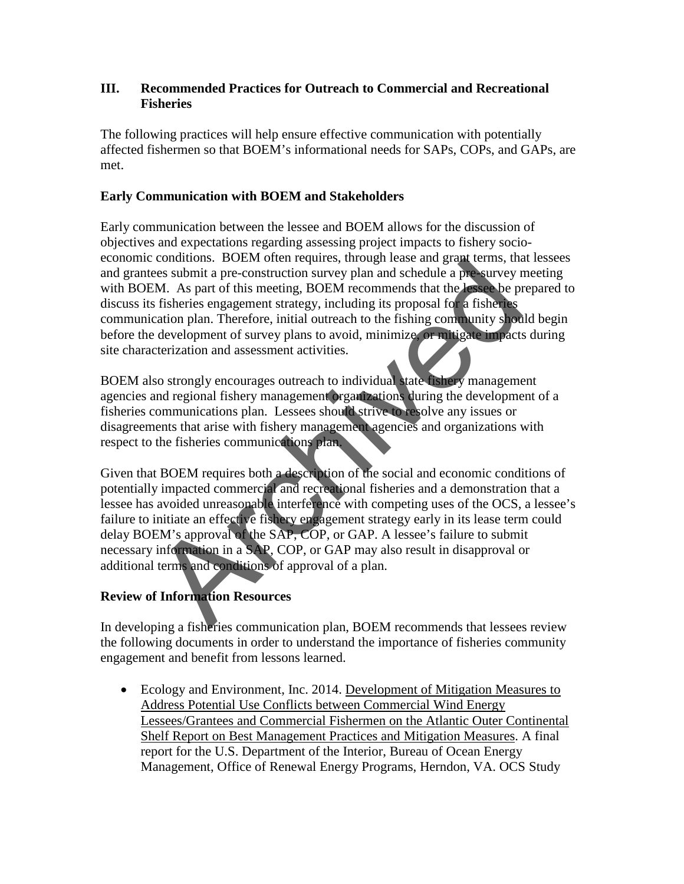### **III. Recommended Practices for Outreach to Commercial and Recreational Fisheries**

The following practices will help ensure effective communication with potentially affected fishermen so that BOEM's informational needs for SAPs, COPs, and GAPs, are met.

## **Early Communication with BOEM and Stakeholders**

Early communication between the lessee and BOEM allows for the discussion of objectives and expectations regarding assessing project impacts to fishery socioeconomic conditions. BOEM often requires, through lease and grant terms, that lessees and grantees submit a pre-construction survey plan and schedule a pre-survey meeting with BOEM. As part of this meeting, BOEM recommends that the lessee be prepared to discuss its fisheries engagement strategy, including its proposal for a fisheries communication plan. Therefore, initial outreach to the fishing community should begin before the development of survey plans to avoid, minimize, or mitigate impacts during site characterization and assessment activities.

BOEM also strongly encourages outreach to individual state fishery management agencies and regional fishery management organizations during the development of a fisheries communications plan. Lessees should strive to resolve any issues or disagreements that arise with fishery management agencies and organizations with respect to the fisheries communications plan.

Given that BOEM requires both a description of the social and economic conditions of potentially impacted commercial and recreational fisheries and a demonstration that a lessee has avoided unreasonable interference with competing uses of the OCS, a lessee's failure to initiate an effective fishery engagement strategy early in its lease term could delay BOEM's approval of the SAP, COP, or GAP. A lessee's failure to submit necessary information in a SAP, COP, or GAP may also result in disapproval or additional terms and conditions of approval of a plan. conditions. BOEM the inequires, union and particular and principal exercises submit a pre-construction survey plan and schedule a pre-survey FM. As part of this meeting, BOEM recommends that the lessee be pre-<br>SM. As part

# **Review of Information Resources**

In developing a fisheries communication plan, BOEM recommends that lessees review the following documents in order to understand the importance of fisheries community engagement and benefit from lessons learned.

• Ecology and Environment, Inc. 2014. Development of Mitigation Measures to Address Potential Use Conflicts between Commercial Wind Energy Lessees/Grantees and Commercial Fishermen on the Atlantic Outer Continental Shelf Report on Best Management Practices and Mitigation Measures. A final report for the U.S. Department of the Interior, Bureau of Ocean Energy Management, Office of Renewal Energy Programs, Herndon, VA. OCS Study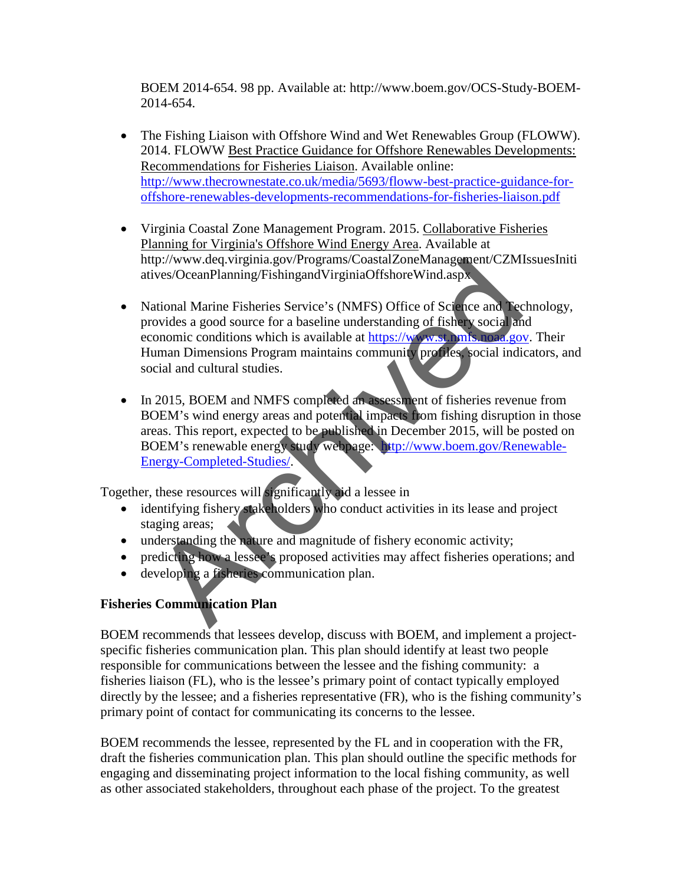BOEM 2014-654. 98 pp. Available at: http://www.boem.gov/OCS-Study-BOEM-2014-654.

- The Fishing Liaison with Offshore Wind and Wet Renewables Group (FLOWW). 2014. FLOWW Best Practice Guidance for Offshore Renewables Developments: Recommendations for Fisheries Liaison. Available online: [http://www.thecrownestate.co.uk/media/5693/floww-best-practice-guidance-for](http://www.thecrownestate.co.uk/media/5693/floww-best-practice-guidance-for-offshore-renewables-developments-recommendations-for-fisheries-liaison.pdf)[offshore-renewables-developments-recommendations-for-fisheries-liaison.pdf](http://www.thecrownestate.co.uk/media/5693/floww-best-practice-guidance-for-offshore-renewables-developments-recommendations-for-fisheries-liaison.pdf)
- Virginia Coastal Zone Management Program. 2015. Collaborative Fisheries Planning for Virginia's Offshore Wind Energy Area. Available at http://www.deq.virginia.gov/Programs/CoastalZoneManagement/CZMIssuesIniti atives/OceanPlanning/FishingandVirginiaOffshoreWind.aspx
- National Marine Fisheries Service's (NMFS) Office of Science and Technology, provides a good source for a baseline understanding of fishery social and economic conditions which is available at https://www.st.nmfs.noaa.gov. Their Human Dimensions Program maintains community profiles, social indicators, and social and cultural studies. the employment of the manufacturity in a lesser in the manufacture of the control and the employment conditions whi[ch](http://www.boem.gov/Renewable-Energy-Completed-Studies/) is available at https://www.shipsing.com/<br>archives/OceanPlanning/FishingandVirginiaOffshoreWind.asp.<br>arc
- In 2015, BOEM and NMFS completed an assessment of fisheries revenue from BOEM's wind energy areas and potential impacts from fishing disruption in those areas. This report, expected to be published in December 2015, will be posted on BOEM's renewable energy study webpage: [http://www.boem.gov/Renewable-](http://www.boem.gov/Renewable-Energy-Completed-Studies/)Energy-Completed-Studies/.

Together, these resources will significantly aid a lessee in

- identifying fishery stakeholders who conduct activities in its lease and project staging areas;
- understanding the nature and magnitude of fishery economic activity;
- predicting how a lessee's proposed activities may affect fisheries operations; and
- developing a fisheries communication plan.

# **Fisheries Communication Plan**

BOEM recommends that lessees develop, discuss with BOEM, and implement a projectspecific fisheries communication plan. This plan should identify at least two people responsible for communications between the lessee and the fishing community: a fisheries liaison (FL), who is the lessee's primary point of contact typically employed directly by the lessee; and a fisheries representative (FR), who is the fishing community's primary point of contact for communicating its concerns to the lessee.

BOEM recommends the lessee, represented by the FL and in cooperation with the FR, draft the fisheries communication plan. This plan should outline the specific methods for engaging and disseminating project information to the local fishing community, as well as other associated stakeholders, throughout each phase of the project. To the greatest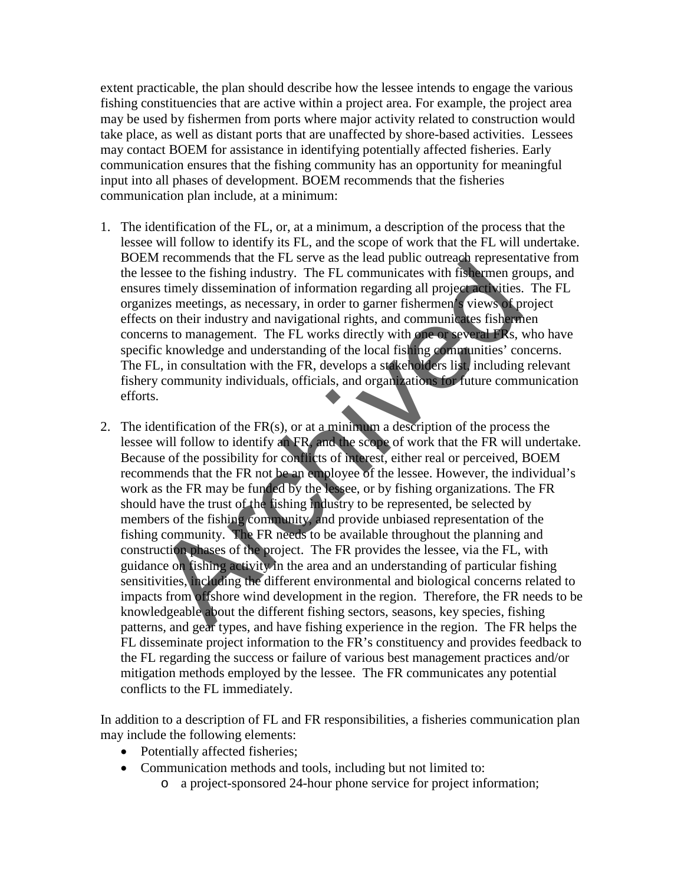extent practicable, the plan should describe how the lessee intends to engage the various fishing constituencies that are active within a project area. For example, the project area may be used by fishermen from ports where major activity related to construction would take place, as well as distant ports that are unaffected by shore-based activities. Lessees may contact BOEM for assistance in identifying potentially affected fisheries. Early communication ensures that the fishing community has an opportunity for meaningful input into all phases of development. BOEM recommends that the fisheries communication plan include, at a minimum:

- 1. The identification of the FL, or, at a minimum, a description of the process that the lessee will follow to identify its FL, and the scope of work that the FL will undertake. BOEM recommends that the FL serve as the lead public outreach representative from the lessee to the fishing industry. The FL communicates with fishermen groups, and ensures timely dissemination of information regarding all project activities. The FL organizes meetings, as necessary, in order to garner fishermen's views of project effects on their industry and navigational rights, and communicates fishermen concerns to management. The FL works directly with one or several FRs, who have specific knowledge and understanding of the local fishing communities' concerns. The FL, in consultation with the FR, develops a stakeholders list, including relevant fishery community individuals, officials, and organizations for future communication efforts.
- 2. The identification of the  $FR(s)$ , or at a minimum a description of the process the lessee will follow to identify an FR, and the scope of work that the FR will undertake. Because of the possibility for conflicts of interest, either real or perceived, BOEM recommends that the FR not be an employee of the lessee. However, the individual's work as the FR may be funded by the lessee, or by fishing organizations. The FR should have the trust of the fishing industry to be represented, be selected by members of the fishing community, and provide unbiased representation of the fishing community. The FR needs to be available throughout the planning and construction phases of the project. The FR provides the lessee, via the FL, with guidance on fishing activity in the area and an understanding of particular fishing sensitivities, including the different environmental and biological concerns related to impacts from offshore wind development in the region. Therefore, the FR needs to be knowledgeable about the different fishing sectors, seasons, key species, fishing patterns, and gear types, and have fishing experience in the region. The FR helps the FL disseminate project information to the FR's constituency and provides feedback to the FL regarding the success or failure of various best management practices and/or mitigation methods employed by the lessee. The FR communicates any potential conflicts to the FL immediately. In every three issues the event as the tract public conteach representing<br>see to the fishing industry. The FL communicates with fisthermen grows<br>it is seen the fishing industry. The FL communicates with fisthermen grows<br>it

In addition to a description of FL and FR responsibilities, a fisheries communication plan may include the following elements:

- Potentially affected fisheries;
- Communication methods and tools, including but not limited to:
	- o a project-sponsored 24-hour phone service for project information;